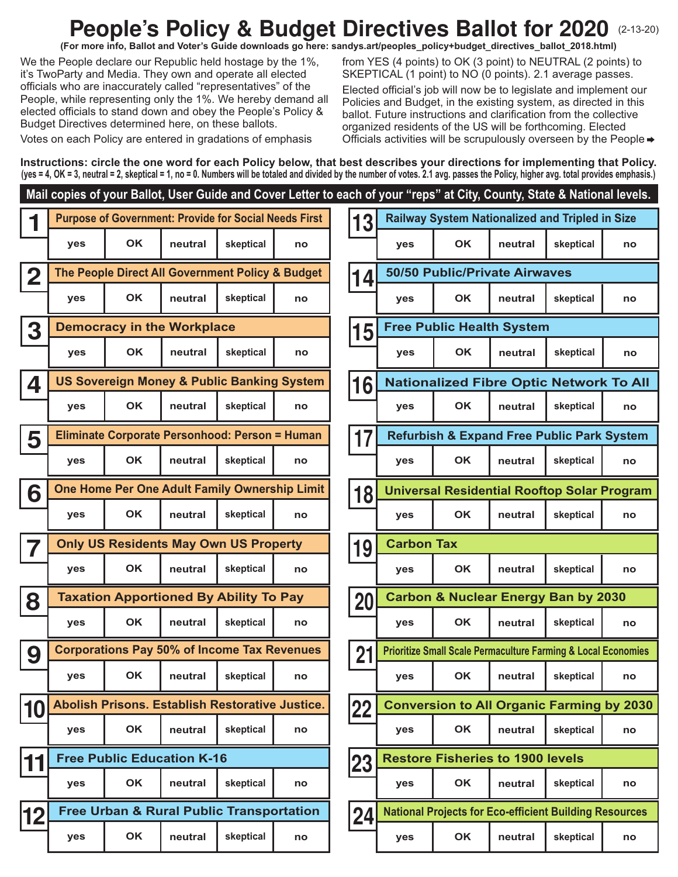## **People's Policy & Budget Directives Ballot for 2020 (2-13-20)**

**(For more info, Ballot and Voter's Guide downloads go here: sandys.art/peoples\_policy+budget\_directives\_ballot\_2018.html)**

We the People declare our Republic held hostage by the 1%, it's TwoParty and Media. They own and operate all elected officials who are inaccurately called "representatives" of the People, while representing only the 1%. We hereby demand all elected officials to stand down and obey the People's Policy & Budget Directives determined here, on these ballots.

Votes on each Policy are entered in gradations of emphasis

from YES (4 points) to OK (3 point) to NEUTRAL (2 points) to SKEPTICAL (1 point) to NO (0 points). 2.1 average passes.

Elected official's job will now be to legislate and implement our Policies and Budget, in the existing system, as directed in this ballot. Future instructions and clarification from the collective organized residents of the US will be forthcoming. Elected Officials activities will be scrupulously overseen by the People

**Instructions: circle the one word for each Policy below, that best describes your directions for implementing that Policy. (yes = 4, OK = 3, neutral = 2, skeptical = 1, no = 0. Numbers will be totaled and divided by the number of votes. 2.1 avg. passes the Policy, higher avg. total provides emphasis.)**

## **1 Purpose of Government: Provide for Social Needs First** 1 2 The People Direct All Government Policy & Budget 14 **3 15 Democracy in the Workplace 4 16 US Sovereign Money & Public Banking System 5 <sup>17</sup> Eliminate Corporate Personhood: Person = Human 6** One Home Per One Adult Family Ownership Limit **18** Universal Residential Rooftop Solar Program **7** Only US Residents May Own US Property 19 **8 <sup>20</sup> Taxation Apportioned By Ability To Pay 9 Corporations Pay 50% of Income Tax Revenues** 21 **10** Abolish Prisons. Establish Restorative Justice. 22 **11 23 Free Public Education K-16** 12 **Free Urban & Rural Public Transportation** 24 **yes OK neutral skeptical no yes OK neutral skeptical no yes OK neutral skeptical no yes OK neutral skeptical no yes OK neutral skeptical no yes OK neutral skeptical no yes OK neutral skeptical no yes OK neutral skeptical no yes OK neutral skeptical no yes OK neutral skeptical no yes OK neutral skeptical no yes OK neutral skeptical no yes OK neutral skeptical no yes OK neutral skeptical no yes OK neutral skeptical no Railway System Nationalized and Tripled in Size yes OK neutral skeptical no yes OK neutral skeptical no** Abolish Prisons. Establish Restorative Justice. **Collety Propyl Conversion to All Organic Farming by 2030 yes OK neutral skeptical no yes OK neutral skeptical no 50/50 Public/Private Airwaves yes OK neutral skeptical no yes OK neutral skeptical no Nationalized Fibre Optic Network To All yes OK neutral skeptical no yes OK neutral skeptical no yes OK neutral skeptical no Free Public Health System Carbon Tax Carbon & Nuclear Energy Ban by 2030 Prioritize Small Scale Permaculture Farming & Local Economies Refurbish & Expand Free Public Park System National Projects for Eco-efficient Building Resources Restore Fisheries to 1900 levels Mail copies of your Ballot, User Guide and Cover Letter to each of your "reps" at City, County, State & National levels.**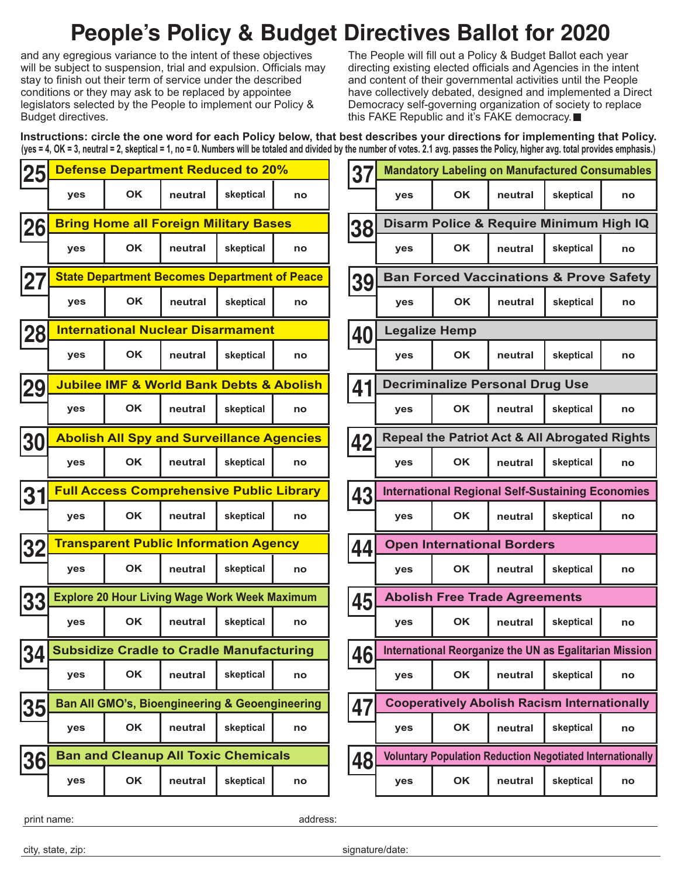# **People's Policy & Budget Directives Ballot for 2020**

and any egregious variance to the intent of these objectives will be subject to suspension, trial and expulsion. Officials may stay to finish out their term of service under the described conditions or they may ask to be replaced by appointee legislators selected by the People to implement our Policy & Budget directives.

The People will fill out a Policy & Budget Ballot each year directing existing elected officials and Agencies in the intent and content of their governmental activities until the People have collectively debated, designed and implemented a Direct Democracy self-governing organization of society to replace this FAKE Republic and it's FAKE democracy.■

| Instructions: circle the one word for each Policy below, that best describes your directions for implementing that Policy.                                                          |  |
|-------------------------------------------------------------------------------------------------------------------------------------------------------------------------------------|--|
| (yes = 4, OK = 3, neutral = 2, skeptical = 1, no = 0. Numbers will be totaled and divided by the number of votes. 2.1 avg. passes the Policy, higher avg. total provides emphasis.) |  |

| 25 |                                                           | <b>Defense Department Reduced to 20%</b>             |         |           | 37 | <b>Mandatory Labeling on Manufactured Consumables</b> |                                                          |           |                                                                  |                                                         |    |  |
|----|-----------------------------------------------------------|------------------------------------------------------|---------|-----------|----|-------------------------------------------------------|----------------------------------------------------------|-----------|------------------------------------------------------------------|---------------------------------------------------------|----|--|
|    | yes                                                       | <b>OK</b>                                            | neutral | skeptical | no |                                                       | yes                                                      | OK        | neutral                                                          | skeptical                                               | no |  |
| 26 | <b>Bring Home all Foreign Military Bases</b>              |                                                      |         |           |    | 38                                                    | Disarm Police & Require Minimum High IQ                  |           |                                                                  |                                                         |    |  |
|    | yes                                                       | <b>OK</b>                                            | neutral | skeptical | no |                                                       | yes                                                      | <b>OK</b> | neutral                                                          | skeptical                                               | no |  |
| 27 | <b>State Department Becomes Department of Peace</b>       |                                                      |         |           |    | 39                                                    | <b>Ban Forced Vaccinations &amp; Prove Safety</b>        |           |                                                                  |                                                         |    |  |
|    | yes                                                       | <b>OK</b>                                            | neutral | skeptical | no |                                                       | yes                                                      | <b>OK</b> | neutral                                                          | skeptical                                               | no |  |
| 28 | <b>International Nuclear Disarmament</b>                  |                                                      |         |           |    | 40                                                    | <b>Legalize Hemp</b>                                     |           |                                                                  |                                                         |    |  |
|    | yes                                                       | <b>OK</b>                                            | neutral | skeptical | no |                                                       | yes                                                      | <b>OK</b> | neutral                                                          | skeptical                                               | no |  |
| 29 | <b>Jubilee IMF &amp; World Bank Debts &amp; Abolish</b>   |                                                      |         |           |    | 41                                                    |                                                          |           | <b>Decriminalize Personal Drug Use</b>                           |                                                         |    |  |
|    | yes                                                       | OK                                                   | neutral | skeptical | no |                                                       | yes                                                      | OK        | neutral                                                          | skeptical                                               | no |  |
| 30 |                                                           | <b>Abolish All Spy and Surveillance Agencies</b>     |         |           |    |                                                       | <b>Repeal the Patriot Act &amp; All Abrogated Rights</b> |           |                                                                  |                                                         |    |  |
|    | yes                                                       | OK                                                   | neutral | skeptical | no | 42                                                    | yes                                                      | <b>OK</b> | neutral                                                          | skeptical                                               | no |  |
| 31 | <b>Full Access Comprehensive Public Library</b>           |                                                      |         |           |    | 43                                                    |                                                          |           |                                                                  | <b>International Regional Self-Sustaining Economies</b> |    |  |
|    | yes                                                       | <b>OK</b>                                            | neutral | skeptical | no |                                                       | yes                                                      | <b>OK</b> | neutral                                                          | skeptical                                               | no |  |
| 32 |                                                           | <b>Transparent Public Information Agency</b>         |         |           |    | 44                                                    | <b>Open International Borders</b>                        |           |                                                                  |                                                         |    |  |
|    | yes                                                       | <b>OK</b>                                            | neutral | skeptical | no |                                                       | yes                                                      | <b>OK</b> | neutral                                                          | skeptical                                               | no |  |
| 33 |                                                           | <b>Explore 20 Hour Living Wage Work Week Maximum</b> |         |           |    | 45                                                    | <b>Abolish Free Trade Agreements</b>                     |           |                                                                  |                                                         |    |  |
|    | yes                                                       | <b>OK</b>                                            | neutral | skeptical | no |                                                       | yes                                                      | <b>OK</b> | neutral                                                          | skeptical                                               | no |  |
|    | 34 Subsidize Cradle to Cradle Manufacturing               |                                                      |         |           |    | AC<br>40                                              |                                                          |           | International Reorganize the UN as Egalitarian Mission           |                                                         |    |  |
|    | yes                                                       | OK                                                   | neutral | skeptical | no |                                                       | yes                                                      | OK        | neutral                                                          | skeptical                                               | no |  |
| 35 | <b>Ban All GMO's, Bioengineering &amp; Geoengineering</b> |                                                      |         |           |    | 47                                                    |                                                          |           | <b>Cooperatively Abolish Racism Internationally</b>              |                                                         |    |  |
|    | yes                                                       | OK                                                   | neutral | skeptical | no |                                                       | yes                                                      | OK        | neutral                                                          | skeptical                                               | no |  |
| 36 | <b>Ban and Cleanup All Toxic Chemicals</b>                |                                                      |         |           |    | 48                                                    |                                                          |           | <b>Voluntary Population Reduction Negotiated Internationally</b> |                                                         |    |  |
|    | yes                                                       | OK                                                   | neutral | skeptical | no |                                                       | yes                                                      | OK        | neutral                                                          | skeptical                                               | no |  |
|    |                                                           |                                                      |         |           |    |                                                       |                                                          |           |                                                                  |                                                         |    |  |

| International Reorganize the UN as Egalitarian Mission           |           |         |           |    |  |  |  |
|------------------------------------------------------------------|-----------|---------|-----------|----|--|--|--|
| yes                                                              | <b>OK</b> | neutral | skeptical | no |  |  |  |
| <b>Cooperatively Abolish Racism Internationally</b>              |           |         |           |    |  |  |  |
| yes                                                              | <b>OK</b> | neutral | skeptical | no |  |  |  |
| <b>Voluntary Population Reduction Negotiated Internationally</b> |           |         |           |    |  |  |  |
| <b>ves</b>                                                       | <b>OK</b> | neutral | skeptical | no |  |  |  |
|                                                                  |           |         |           |    |  |  |  |
| -⁄date`                                                          |           |         |           |    |  |  |  |

city, state, zip:

print name:

signature

address: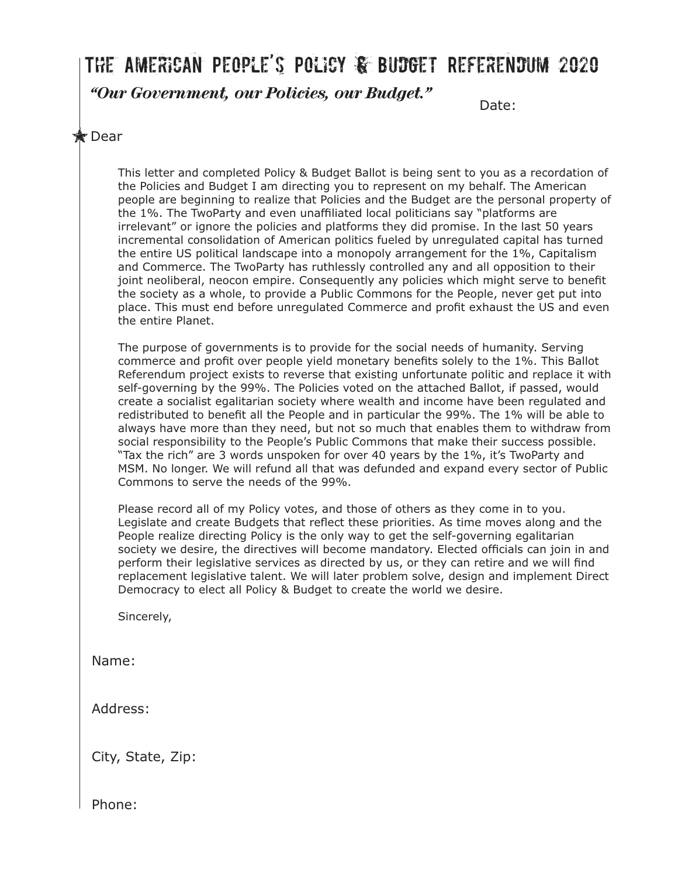# The American People's Policy & Budget Referendum 2020

*"Our Government, our Policies, our Budget."*

Date:

## **x** Dear

This letter and completed Policy & Budget Ballot is being sent to you as a recordation of the Policies and Budget I am directing you to represent on my behalf. The American people are beginning to realize that Policies and the Budget are the personal property of the 1%. The TwoParty and even unaffiliated local politicians say "platforms are irrelevant" or ignore the policies and platforms they did promise. In the last 50 years incremental consolidation of American politics fueled by unregulated capital has turned the entire US political landscape into a monopoly arrangement for the 1%, Capitalism and Commerce. The TwoParty has ruthlessly controlled any and all opposition to their joint neoliberal, neocon empire. Consequently any policies which might serve to benefit the society as a whole, to provide a Public Commons for the People, never get put into place. This must end before unregulated Commerce and profit exhaust the US and even the entire Planet.

The purpose of governments is to provide for the social needs of humanity. Serving commerce and profit over people yield monetary benefits solely to the 1%. This Ballot Referendum project exists to reverse that existing unfortunate politic and replace it with self-governing by the 99%. The Policies voted on the attached Ballot, if passed, would create a socialist egalitarian society where wealth and income have been regulated and redistributed to benefit all the People and in particular the 99%. The 1% will be able to always have more than they need, but not so much that enables them to withdraw from social responsibility to the People's Public Commons that make their success possible. "Tax the rich" are 3 words unspoken for over 40 years by the 1%, it's TwoParty and MSM. No longer. We will refund all that was defunded and expand every sector of Public Commons to serve the needs of the 99%.

Please record all of my Policy votes, and those of others as they come in to you. Legislate and create Budgets that reflect these priorities. As time moves along and the People realize directing Policy is the only way to get the self-governing egalitarian society we desire, the directives will become mandatory. Elected officials can join in and perform their legislative services as directed by us, or they can retire and we will find replacement legislative talent. We will later problem solve, design and implement Direct Democracy to elect all Policy & Budget to create the world we desire.

Sincerely,

Name:

Address:

City, State, Zip:

Phone: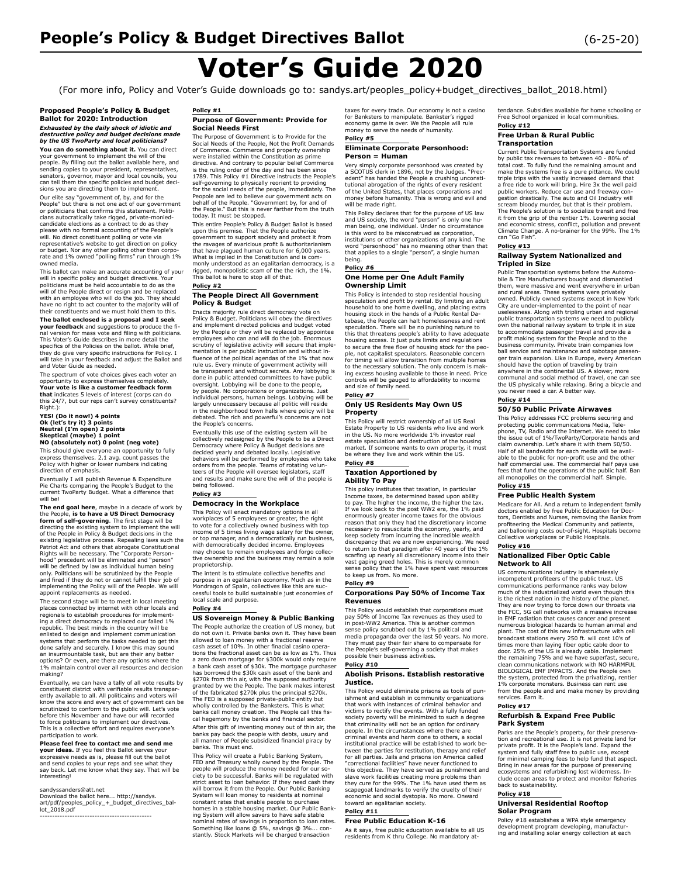# **Voter's Guide 2020**

(For more info, Policy and Voter's Guide downloads go to: sandys.art/peoples\_policy+budget\_directives\_ballot\_2018.html)

**Proposed People's Policy & Budget Ballot for 2020: Introduction**  *Exhausted by the daily shock of idiotic and destructive policy and budget decisions made by the US TwoParty and local politicians?*

**You can do something about it.** You can direct your government to implement the will of the<br>people. By filling out the ballot available here, and<br>sending copies to your president, representatives,<br>senators, governor, mayor and local councils, you can tell them the specific policies and budget decisions you are directing them to implement.

Our elite say "government of, by, and for the People" but there is not one act of our government or politicians that confi rms this statement. Politicians autocratically take rigged, private-moniedcandidate elections as a contract to do as they please with no formal accounting of the People's will. No direct constituent polling or vote via representative's website to get direction on policy or budget. Nor any other polling other than corpo-rate and 1% owned "polling fi rms" run through 1% owned media.

This ballot can make an accurate accounting of your will in specific policy and budget directives. Your politicians must be held accountable to do as the will of the People direct or resign and be replaced with an employee who will do the job. They should have no right to act counter to the majority will of their constituents and we must hold them to this.

**The ballot enclosed is a proposal and I seek your feedback** and suggestions to produce the fi-<br>nal version for mass vote and filing with politicians. This Voter's Guide describes in more detail the specifics of the Policies on the ballot. While brief,<br>they do give very specific instructions for Policy. I<br>will take in your feedback and adjust the Ballot and<br>and Voter Guide as needed.

The spectrum of vote choices gives each voter an opportunity to express themselves completely. **Your vote is like a customer feedback form that** indicates 5 levels of interest (corps can do this 24/7, but our reps can't survey constituents? Right.):

# **YES! (Do it now!) 4 points Ok (let's try it) 3 points Neutral (I'm open) 2 points Skeptical (maybe) 1 point NO (absolutely not) 0 point (neg vote)**

This should give everyone an opportunity to fully<br>express themselves. 2.1 avg. count passes the<br>Policy with higher or lower numbers indicating<br>direction of emphasis.

Eventually I will publish Revenue & Expenditure Pie Charts comparing the People's Budget to the current TwoParty Budget. What a difference that will be!

**The end goal here**, maybe in a decade of work by<br>the People, **is to have a US Direct Democracy**<br>**form of self-governing**. The first stage will be<br>directing the existing system to implement the will of the People in Policy & Budget decisions in the existing legislative process. Repealing laws such the Patriot Act and others that abrogate Constitutional Rights will be necessary. The "Corporate Personhood" precedent will be eliminated and "person" will be defined by law as individual human being<br>only. Politicians will be scrutinized by the People and fired if they do not or cannot fulfill their job of<br>implementing the Policy will of the People. We will<br>appoint replacements as needed.

The second stage will be to meet in local meeting places connected by internet with other locals and regionals to establish procedures for implementing a direct democracy to replaced our failed 1% republic. The best minds in the country will be enlisted to design and implement communication systems that perform the tasks needed to get this done safely and securely. I know this may sound an insurmountable task, but are their any better options? Or even, are there any options where the 1% maintain control over all resources and decision making?

Eventually, we can have a tally of all vote results by eventually, we can nave a call, or all reserves transparently available to all. All politicains and voters know the score and every act of government can be scrutinized to conform to the public will. Let's vote before this November and have our will recorded to force politicians to implement our directives. This is a collective effort and requires everyone's participation to work.

#### **Please feel free to contact me and send me**

**your ideas.** If you feel this Ballot serves your<br>expressive needs as is, please fill out the ballot and send copies to your reps and see what they say back. Let me know what they say. That will be interesting!

sandyssanders@att.net Download the ballot here... http://sandys. art/pdf/peoples\_policy\_+\_budget\_directives\_ballot\_2018.pdf ---------------------------------------------

#### **Policy #1 Purpose of Government: Provide for Social Needs First**

The Purpose of Government is to Provide for the Social Needs of the People, Not the Profi t Demands of Commerce. Commerce and property ownership were installed within the Constitution as prime<br>directive. And contrary to popular belief Commerce<br>is the ruling order of the day and has been since<br>1789. This Policy #1 Directive instructs the People's self-governing to physically reorient to providing<br>for the social needs of the people, immediately. The<br>Peopole are led to believe our government acts on<br>behalf of the People. "Government by, for and of the People." But this is never farther from the truth today. It must be stopped.

This entire People's Policy & Budget Ballot is based upon this premise. That the People authorize government to support society and protect it from the ravages of avaricious profit & authoritarianism<br>that have plagued human culture for 6,000 years.<br>What is implied in the Constitution and is com-<br>monly understood as an egalitarian democracy, is a rigged, monopolistic scam of the the rich, the 1%. This ballot is here to stop all of that.

#### **Policy #2 The People Direct All Government**

#### **Policy & Budget**

Enacts majority rule direct democracy vote on Policy & Budget. Politicians will obey the directives and implement directed policies and budget voted by the People or they will be replaced by appointee employees who can and will do the job. Enormous scrutiny of legislative activity will secure that implementation is per public instruction and without influence of the political agendas of the 1% that now<br>rule us. Every minute of government activity will<br>be transparent and without secrets. Any lobbying is done in public attended committees to have public oversight. Lobbying will be done to the people, by people. No corporations or organizations. Just individual persons, human beings. Lobbying will be largely unnecessary because all politic will reside in the neighborhood town halls where policy will be debated. The rich and powerful's concerns are not the People's concerns.

Eventually this use of the existing system will be collectively redesigned by the People to be a Direct Democracy where Policy & Budget decisions are decided yearly and debated locally. Legislative behaviors will be performed by employees who take orders from the people. Teams of rotating volunteers of the People will oversee legislators, staff and results and make sure the will of the people is being followed. **Policy #3**

#### **Democracy in the Workplace**

This Policy will enact mandatory options in all workplaces of 5 employees or greater, the right to vote for a collectively owned business with top income of 5 times living wage salary for the owner, or top manager, and a democratically run business, with democratically decided income. Employees may choose to remain employees and forgo collec-tive ownership and the business may remain a sole proprietorship.

The intent is to stimulate collective benefits and purpose in an egalitarian economy. Much as in the Mondragon of Spain, collectives like this are suc-cessful tools to build sustainable just economies of local scale and purpose.

#### **Policy #4**

**US Sovereign Money & Public Banking** The People authorize the creation of US money, but do not own it. Private banks own it. They have been allowed to loan money with a fractional reserve cash asset of 10%. In other fi nacial casino operations the fractional asset can be as low as 1%. Thus a zero down mortgage for \$300k would only require a bank cash asset of \$30k. The mortgage purchaser has borrowed the \$30k cash asset of the bank and \$270k from thin air, with the supposed authority granted by we the People. The bank makes interest of the fabricated \$270k plus the principal \$270k. The FED is a supposed private-public entity but wholly controlled by the Banksters. This is what banks call money creation. The People call this fiscal hegemony by the banks and financial sector. After this gift of inventing money out of thin air, the banks pay back the people with debts, usury and all manner of People subsidized financial piracy by banks. This must end.

This Policy will create a Public Banking System,<br>FED and Treasury wholly owned by the People. The<br>people will produce the money needed for our so-<br>ciety to be successful. Banks will be regulated with strict asset to loan behavior. If they need cash they will borrow it from the People. Our Public Banking System will loan money to residents at nominal constant rates that enable people to purchase homes in a stable housing market. Our Public Bank-<br>ing System will allow savers to have safe stable<br>nominal rates of savings in proportion to loan rates.<br>Something like loans @ 5%, savings @ 3%... constantly. Stock Markets will be charged transaction

taxes for every trade. Our economy is not a casino for Banksters to manipulate. Bankster's rigged economy game is over. We the People will rule money to serve the needs of humanity.

#### **Policy #5 Eliminate Corporate Personhood: Person = Human**

Very simply corporate personhood was created by a SCOTUS clerk in 1896, not by the Judges. "Prec-edent" has handed the People a crushing unconsti-tutional abrogation of the rights of every resident of the United States, that places corporations and money before humanity. This is wrong and evil and will be made right.

This Policy declares that for the purpose of US law and US society, the word "person" is only one hu-man being, one individual. Under no circumstance is this word to be misconstrued as corporation, institutions or other organizations of any kind. The word "personhood" has no meaning other than that that applies to a single "person", a single human being.

#### **Policy #6**

#### **One Home per One Adult Family Ownership Limit**

This Policy is intended to stop residential housing speculation and profi t by rental. By limiting an adult household to one home dwelling, and placing extra housing stock in the hands of a Public Rental Database, the People can halt homelessness and rent speculation. There will be no punishing nature to this that threatens people's ability to have adequate housing access. It just puts limits and regulations to secure the free flow of housing stock for the peo-<br>ple, not capitalist speculators. Reasonable concern<br>for timing will allow transition from multiple homes to the necessary solution. The only concern is making excess housing available to those in need. Price controls will be gauged to affordability to income and size of family need.

#### **Policy #7**

#### **Only US Residents May Own US Property**

This Policy will restrict ownership of all US Real Estate Property to US residents who live and work in the US. No more worldwide 1% investor real estate speculation and destruction of the housing market. If someone wants to own property, it must

#### be where they live and work within the US. **Policy #8 Taxation Apportioned by**

#### **Ability To Pay**

This policy institutes that taxation, in particular Income taxes, be determined based upon ability to pay. The higher the income, the higher the tax. If we look back to the post WW2 era, the 1% paid enormously greater income taxes for the obvious reason that only they had the discretionary income necessary to resuscitate the economy, yearly, and keep society from incurring the incredible wealth discrepancy that we are now experiencing. We need to return to that paradigm after 40 years of the 1%<br>scarfing up nearly all discretionary income into their<br>vast gaping greed holes. This is merely common sense policy that the 1% have spent vast resources to keep us from. No more.

#### **Policy #9 Corporations Pay 50% of Income Tax**

## **Revenues**

This Policy would establish that corporations must pay 50% of Income Tax revenues as they used to in post-WW2 America. This is another common sense policy scrubbed out by 1% political and media propaganda over the last 50 years. No more. They must pay their fair share to compensate for the People's self-governing a society that makes possible their business activities.

#### **Policy #10**

#### **Abolish Prisons. Establish restorative Justice.**

This Policy would eliminate prisons as tools of punishment and establish in community organizations that work with instances of criminal behavior and victims to rectify the events. With a fully funded society poverty will be minimized to such a degree that criminality will not be an option for ordinary people. In the circumstances where there are criminal events and harm done to others, a social institutional practice will be established to work between the parties for restitution, therapy and relief for all parties. Jails and prisons ion America called "correctional facilities" have never functioned to this objective. They have served as punishment and slave work facilities creating more problems than they cure for the 99%. The 1% have used them as scapegoat landmarks to verify the cruelty of their economic and social dystopia. No more. Onward toward an egalitarian society.

#### **Policy #11 Free Public Education K-16**

As it says, free public education available to all US residents from K thru College. No mandatory at-

tendance. Subsidies available for home schooling or Free School organized in local communities.

#### **Policy #12 Free Urban & Rural Public Transportation**

Current Public Transportation Systems are funded by public tax revenues to between 40 - 80% of total cost. To fully fund the remaining amount and make the systems free is a pure pittance. We could triple trips with the vastly increased demand that a free ride to work will bring. Hire 3x the well paid public workers. Reduce car use and freeway congestion drastically. The auto and Oil Industry will scream bloody murder, but that is their problem. The People's solution is to socialize transit and free it from the grip of the rentier 1%. Lowering social<br>and economic stress, conflict, pollution and prevent<br>Climate Change. A no-brainer for the 99%. The 1% can "Go Fish".

#### **Policy #13**

#### **Railway System Nationalized and Tripled in Size**

Public Transportation systems before the Automobile & Tire Manufacturers bought and dismantled them, were massive and went everywhere in urban and rural areas. These systems were privately owned. Publicly owned systems except in New York City are under-implemented to the point of near uselessness. Along with tripling urban and regional public transportation systems we need to publicly own the national railway system to triple it in size to accommodate passenger travel and provide a<br>profit making system for the People and to the<br>business community. Private train companies low ball service and maintenance and sabotage passenger train expansion. Like in Europe, every American should have the option of traveling by train anywhere in the continental US. A slower, more communal and social method of travel, one can see the US physically while relaxing. Bring a bicycle and you never need a car. A better way.

#### **Policy #14 50/50 Public Private Airwaves**

This Policy addresses FCC problems securing and protecting public communications Media, Telephone, TV, Radio and the Internet. We need to take the issue out of 1%/TwoParty/Corporate hands and claim ownership. Let's share it with them 50/50. Half of all bandwidth for each media will be available to the public for non-profi t use and the other half commercial use. The commercial half pays use fees that fund the operations of the public half. Ban all monopolies on the commercial half. Simple. **Policy #15**

### **Free Public Health System**

Medicare for All. And a return to independent family doctors enabled by free Public Education for Doc-tors, Dentists and Nurses, removing the Banks from profi teering the Medical Community and patients, and ballooning costs out-of-sight. Hospitals become Collective workplaces or Public Hospitals. **Policy #16**

#### **Nationalized Fiber Optic Cable Network to All**

US communications industry is shamelessly incompetent profi teers of the public trust. US communications performance ranks way below much of the industrialized world even though this is the richest nation in the history of the planet. They are now trying to force down our throats via the FCC, 5G cell networks with a massive increase in EMF radiation that causes cancer and present numerous biological hazards to human animal and plant. The cost of this new infrastructure with cell broadcast stations every 250 ft. will cost 10's of times more than laying fiber optic cable door to<br>door. 25% of the US is already cable. Implement<br>the remaining 75% and we have superfast, secure, clean communications network with NO HARMFUL BIOLOGICAL EMF IMPACTS. And the People own the system, protected from the privatizing, rentier 1% corporate monsters. Business can rent use from the people and and make money by providing services. Earn it.

#### **Policy #17**

#### **Refurbish & Expand Free Public Park System**

Parks are the People's property, for their preserva-<br>tion and recreational use. It is not private land for<br>private profit. It is the People's land. Expand the<br>system and fully staff free to public use, except for minimal camping fees to help fund that aspect. Bring in new areas for the purpose of preserving ecosystems and refurbishing lost wilderness. Include ocean areas to protect and monitor fisheries back to sustainability.

### **Policy #18**

#### **Universal Residential Rooftop Solar Program**

Policy #18 establishes a WPA style emergency development program developing, manufactur-ing and installing solar energy collection at each